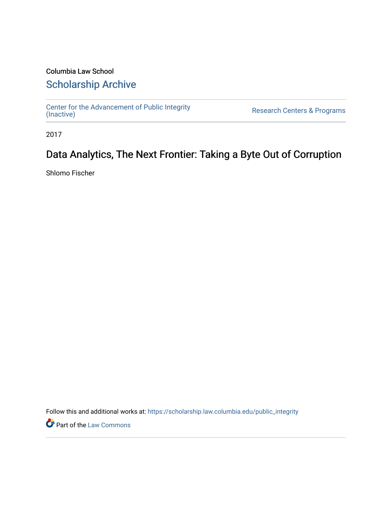# Columbia Law School [Scholarship Archive](https://scholarship.law.columbia.edu/)

[Center for the Advancement of Public Integrity](https://scholarship.law.columbia.edu/public_integrity)<br>(Inactive)

Research Centers & Programs

2017

# Data Analytics, The Next Frontier: Taking a Byte Out of Corruption

Shlomo Fischer

Follow this and additional works at: [https://scholarship.law.columbia.edu/public\\_integrity](https://scholarship.law.columbia.edu/public_integrity?utm_source=scholarship.law.columbia.edu%2Fpublic_integrity%2F44&utm_medium=PDF&utm_campaign=PDFCoverPages)

**Part of the [Law Commons](http://network.bepress.com/hgg/discipline/578?utm_source=scholarship.law.columbia.edu%2Fpublic_integrity%2F44&utm_medium=PDF&utm_campaign=PDFCoverPages)**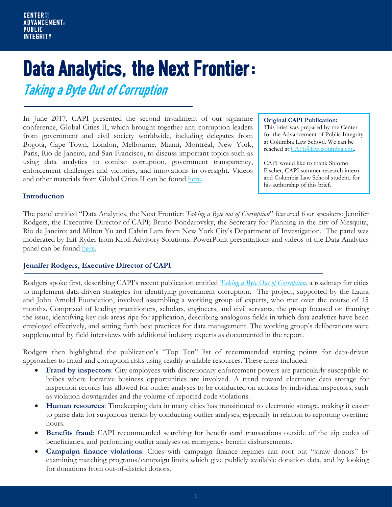# Data Analytics, the Next Frontier:

Taking a Byte Out of Corruption

In June 2017, CAPI presented the second installment of our signature conference, Global Cities II, which brought together anti-corruption leaders from government and civil society worldwide, including delegates from Bogotá, Cape Town, London, Melbourne, Miami, Montréal, New York, Paris, Rio de Janeiro, and San Francisco, to discuss important topics such as using data analytics to combat corruption, government transparency, enforcement challenges and victories, and innovations in oversight. Videos and other materials from Global Cities II can be found [here.](https://www.law.columbia.edu/public-integrity/conferences-and-events/upcoming-events/global-cities-ii)

#### **Original CAPI Publication:**

This brief was prepared by the Center for the Advancement of Public Integrity at Columbia Law School. We can be reached at [CAPI@law.columbia.edu.](mailto:CAPI@law.columbia.edu)

CAPI would like to thank Shlomo Fischer, CAPI summer research intern and Columbia Law School student, for his authorship of this brief.

#### **Introduction**

The panel entitled "Data Analytics, the Next Frontier: *Taking a Byte out of Corruption*" featured four speakers: Jennifer Rodgers, the Executive Director of CAPI; Bruno Bondarovsky, the Secretary for Planning in the city of Mesquita, Rio de Janeiro; and Milton Yu and Calvin Lam from New York City's Department of Investigation. The panel was moderated by Elif Ryder from Kroll Advisory Solutions. PowerPoint presentations and videos of the Data Analytics panel can be found [here.](https://www.law.columbia.edu/public-integrity/our-work/integrity-brief-series/data-analytics-next-frontier-taking-byte-out-corruption)

## **Jennifer Rodgers, Executive Director of CAPI**

Rodgers spoke first, describing CAPI's recent publication entitled *[Taking a Byte Out of Corruption](http://www.law.columbia.edu/public-integrity/our-work/taking-byte-out-corruption)*, a roadmap for cities to implement data-driven strategies for identifying government corruption. The project, supported by the Laura and John Arnold Foundation, involved assembling a working group of experts, who met over the course of 15 months. Comprised of leading practitioners, scholars, engineers, and civil servants, the group focused on framing the issue, identifying key risk areas ripe for application, describing analogous fields in which data analytics have been employed effectively, and setting forth best practices for data management. The working group's deliberations were supplemented by field interviews with additional industry experts as documented in the report.

Rodgers then highlighted the publication's "Top Ten" list of recommended starting points for data-driven approaches to fraud and corruption risks using readily available resources. These areas included:

- **Fraud by inspectors**: City employees with discretionary enforcement powers are particularly susceptible to bribes where lucrative business opportunities are involved. A trend toward electronic data storage for inspection records has allowed for outlier analyses to be conducted on actions by individual inspectors, such as violation downgrades and the volume of reported code violations.
- **Human resources**: Timekeeping data in many cities has transitioned to electronic storage, making it easier to parse data for suspicious trends by conducting outlier analyses, especially in relation to reporting overtime hours.
- **Benefits fraud**: CAPI recommended searching for benefit card transactions outside of the zip codes of beneficiaries, and performing outlier analyses on emergency benefit disbursements.
- **Campaign finance violations**: Cities with campaign finance regimes can root out "straw donors" by examining matching programs/campaign limits which give publicly available donation data, and by looking for donations from out-of-district donors.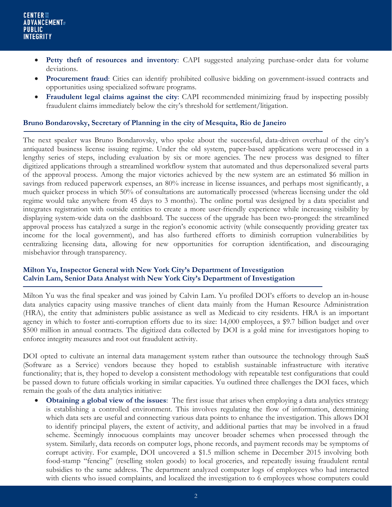- **Petty theft of resources and inventory**: CAPI suggested analyzing purchase-order data for volume deviations.
- **Procurement fraud**: Cities can identify prohibited collusive bidding on government-issued contracts and opportunities using specialized software programs.
- **Fraudulent legal claims against the city**: CAPI recommended minimizing fraud by inspecting possibly fraudulent claims immediately below the city's threshold for settlement/litigation.

# **Bruno Bondarovsky, Secretary of Planning in the city of Mesquita, Rio de Janeiro**

The next speaker was Bruno Bondarovsky, who spoke about the successful, data-driven overhaul of the city's antiquated business license issuing regime. Under the old system, paper-based applications were processed in a lengthy series of steps, including evaluation by six or more agencies. The new process was designed to filter digitized applications through a streamlined workflow system that automated and thus depersonalized several parts of the approval process. Among the major victories achieved by the new system are an estimated \$6 million in savings from reduced paperwork expenses, an 80% increase in license issuances, and perhaps most significantly, a much quicker process in which 50% of consultations are automatically processed (whereas licensing under the old regime would take anywhere from 45 days to 3 months). The online portal was designed by a data specialist and integrates registration with outside entities to create a more user-friendly experience while increasing visibility by displaying system-wide data on the dashboard. The success of the upgrade has been two-pronged: the streamlined approval process has catalyzed a surge in the region's economic activity (while consequently providing greater tax income for the local government), and has also furthered efforts to diminish corruption vulnerabilities by centralizing licensing data, allowing for new opportunities for corruption identification, and discouraging misbehavior through transparency.

## **Milton Yu, Inspector General with New York City's Department of Investigation Calvin Lam, Senior Data Analyst with New York City's Department of Investigation**

Milton Yu was the final speaker and was joined by Calvin Lam. Yu profiled DOI's efforts to develop an in-house data analytics capacity using massive tranches of client data mainly from the Human Resource Administration (HRA), the entity that administers public assistance as well as Medicaid to city residents. HRA is an important agency in which to foster anti-corruption efforts due to its size: 14,000 employees, a \$9.7 billion budget and over \$500 million in annual contracts. The digitized data collected by DOI is a gold mine for investigators hoping to enforce integrity measures and root out fraudulent activity.

DOI opted to cultivate an internal data management system rather than outsource the technology through SaaS (Software as a Service) vendors because they hoped to establish sustainable infrastructure with iterative functionality; that is, they hoped to develop a consistent methodology with repeatable test configurations that could be passed down to future officials working in similar capacities. Yu outlined three challenges the DOI faces, which remain the goals of the data analytics initiative:

**Obtaining a global view of the issues**: The first issue that arises when employing a data analytics strategy is establishing a controlled environment. This involves regulating the flow of information, determining which data sets are useful and connecting various data points to enhance the investigation. This allows DOI to identify principal players, the extent of activity, and additional parties that may be involved in a fraud scheme. Seemingly innocuous complaints may uncover broader schemes when processed through the system. Similarly, data records on computer logs, phone records, and payment records may be symptoms of corrupt activity. For example, DOI uncovered a \$1.5 million scheme in December 2015 involving both food-stamp "fencing" (reselling stolen goods) to local groceries, and repeatedly issuing fraudulent rental subsidies to the same address. The department analyzed computer logs of employees who had interacted with clients who issued complaints, and localized the investigation to 6 employees whose computers could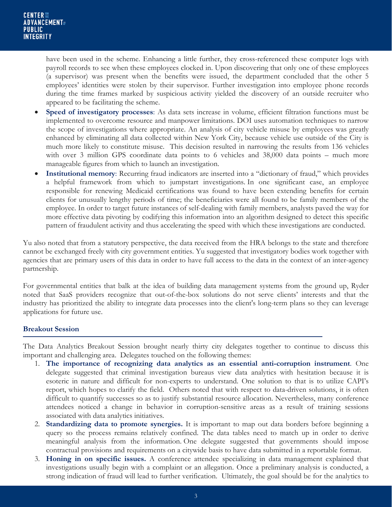have been used in the scheme. Enhancing a little further, they cross-referenced these computer logs with payroll records to see when these employees clocked in. Upon discovering that only one of these employees (a supervisor) was present when the benefits were issued, the department concluded that the other 5 employees' identities were stolen by their supervisor. Further investigation into employee phone records during the time frames marked by suspicious activity yielded the discovery of an outside recruiter who appeared to be facilitating the scheme.

- **Speed of investigatory processes**: As data sets increase in volume, efficient filtration functions must be implemented to overcome resource and manpower limitations. DOI uses automation techniques to narrow the scope of investigations where appropriate. An analysis of city vehicle misuse by employees was greatly enhanced by eliminating all data collected within New York City, because vehicle use outside of the City is much more likely to constitute misuse. This decision resulted in narrowing the results from 136 vehicles with over 3 million GPS coordinate data points to 6 vehicles and 38,000 data points – much more manageable figures from which to launch an investigation.
- **Institutional memory**: Recurring fraud indicators are inserted into a "dictionary of fraud," which provides a helpful framework from which to jumpstart investigations. In one significant case, an employee responsible for renewing Medicaid certifications was found to have been extending benefits for certain clients for unusually lengthy periods of time; the beneficiaries were all found to be family members of the employee. In order to target future instances of self-dealing with family members, analysts paved the way for more effective data pivoting by codifying this information into an algorithm designed to detect this specific pattern of fraudulent activity and thus accelerating the speed with which these investigations are conducted.

Yu also noted that from a statutory perspective, the data received from the HRA belongs to the state and therefore cannot be exchanged freely with city government entities. Yu suggested that investigatory bodies work together with agencies that are primary users of this data in order to have full access to the data in the context of an inter-agency partnership.

For governmental entities that balk at the idea of building data management systems from the ground up, Ryder noted that SaaS providers recognize that out-of-the-box solutions do not serve clients' interests and that the industry has prioritized the ability to integrate data processes into the client's long-term plans so they can leverage applications for future use.

## **Breakout Session**

The Data Analytics Breakout Session brought nearly thirty city delegates together to continue to discuss this important and challenging area. Delegates touched on the following themes:

- 1. **The importance of recognizing data analytics as an essential anti-corruption instrument**. One delegate suggested that criminal investigation bureaus view data analytics with hesitation because it is esoteric in nature and difficult for non-experts to understand. One solution to that is to utilize CAPI's report, which hopes to clarify the field. Others noted that with respect to data-driven solutions, it is often difficult to quantify successes so as to justify substantial resource allocation. Nevertheless, many conference attendees noticed a change in behavior in corruption-sensitive areas as a result of training sessions associated with data analytics initiatives.
- 2. **Standardizing data to promote synergies.** It is important to map out data borders before beginning a query so the process remains relatively confined. The data tables need to match up in order to derive meaningful analysis from the information. One delegate suggested that governments should impose contractual provisions and requirements on a citywide basis to have data submitted in a reportable format.
- 3. **Honing in on specific issues.** A conference attendee specializing in data management explained that investigations usually begin with a complaint or an allegation. Once a preliminary analysis is conducted, a strong indication of fraud will lead to further verification. Ultimately, the goal should be for the analytics to